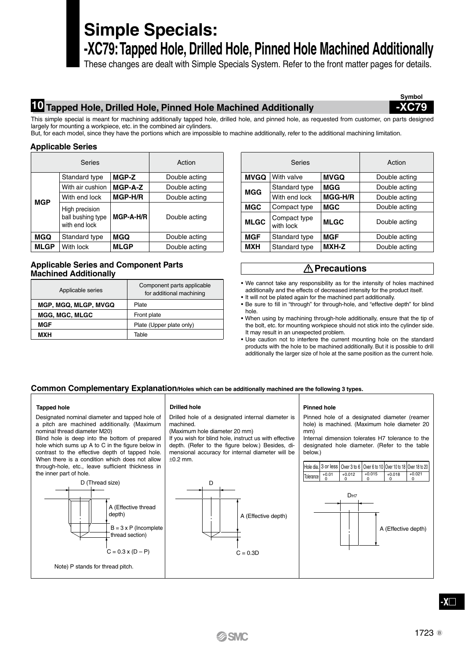# **Simple Specials: -XC79: Tapped Hole, Drilled Hole, Pinned Hole Machined Additionally**

These changes are dealt with Simple Specials System. Refer to the front matter pages for details.

# **10 Tapped Hole, Drilled Hole, Pinned Hole Machined Additionally -XC79**

**Symbol**

This simple special is meant for machining additionally tapped hole, drilled hole, and pinned hole, as requested from customer, on parts designed largely for mounting a workpiece, etc. in the combined air cylinders.

But, for each model, since they have the portions which are impossible to machine additionally, refer to the additional machining limitation.

## **Applicable Series**

| Series      |                                                      |             | Action        |  |
|-------------|------------------------------------------------------|-------------|---------------|--|
|             | Standard type                                        | MGP-Z       | Double acting |  |
|             | With air cushion                                     | MGP-A-Z     | Double acting |  |
| <b>MGP</b>  | MGP-H/R<br>With end lock                             |             | Double acting |  |
|             | High precision<br>ball bushing type<br>with end lock | MGP-A-H/R   | Double acting |  |
| MGQ         | Standard type                                        | MGQ         | Double acting |  |
| <b>MLGP</b> | With lock                                            | <b>MLGP</b> | Double acting |  |

## **Applicable Series and Component Parts Machined Additionally**

| Applicable series     | Component parts applicable<br>for additional machining |  |
|-----------------------|--------------------------------------------------------|--|
| MGP, MGQ, MLGP, MVGQ  | Plate                                                  |  |
| <b>MGG. MGC. MLGC</b> | Front plate                                            |  |
| MGF                   | Plate (Upper plate only)                               |  |
| <b>MXH</b>            | Table                                                  |  |

| Action      | <b>Series</b>                            |                           |                | Action        |
|-------------|------------------------------------------|---------------------------|----------------|---------------|
| ible acting | <b>MVGQ</b><br><b>MVGQ</b><br>With valve |                           | Double acting  |               |
| ible acting | <b>MGG</b>                               | Standard type             | MGG            | Double acting |
| ible acting |                                          | With end lock             | <b>MGG-H/R</b> | Double acting |
|             | <b>MGC</b>                               | Compact type              | <b>MGC</b>     | Double acting |
| ible acting | <b>MLGC</b>                              | Compact type<br>with lock | <b>MLGC</b>    | Double acting |
| ıble acting | <b>MGF</b>                               | Standard type             | <b>MGF</b>     | Double acting |
| ible acting | <b>MXH</b>                               | Standard type             | MXH-Z          | Double acting |

## **Precautions**

- We cannot take any responsibility as for the intensity of holes machined additionally and the effects of decreased intensity for the product itself.
- It will not be plated again for the machined part additionally.
- Be sure to fill in "through" for through-hole, and "effective depth" for blind hole.
- When using by machining through-hole additionally, ensure that the tip of the bolt, etc. for mounting workpiece should not stick into the cylinder side. It may result in an unexpected problem.
- Use caution not to interfere the current mounting hole on the standard products with the hole to be machined additionally. But it is possible to drill additionally the larger size of hole at the same position as the current hole.

## **Common Complementary Explanation/Holes which can be additionally machined are the following 3 types.**

(Maximum hole diameter 20 mm)

machined.

±0.2 mm.

### **Tapped hole Drilled hole Pinned hole**

Designated nominal diameter and tapped hole of a pitch are machined additionally. (Maximum nominal thread diameter M20)

Blind hole is deep into the bottom of prepared hole which sums up A to C in the figure below in contrast to the effective depth of tapped hole. When there is a condition which does not allow through-hole, etc., leave sufficient thickness in the inner part of hole.

D (Thread size)

A (Effective thread depth)

B = 3 x P (Incomplete thread section)

Note) P stands for thread pitch.



Drilled hole of a designated internal diameter is

If you wish for blind hole, instruct us with effective depth. (Refer to the figure below.) Besides, dimensional accuracy for internal diameter will be

Pinned hole of a designated diameter (reamer hole) is machined. (Maximum hole diameter 20 mm)

Internal dimension tolerates H7 tolerance to the designated hole diameter. (Refer to the table below.)



**-X**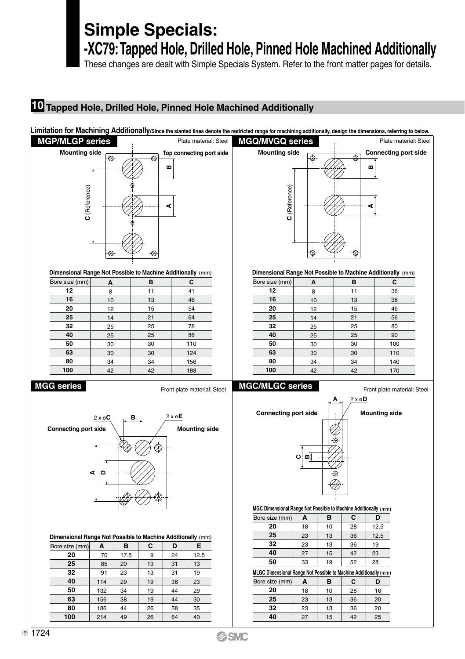# **Simple Specials:**

**-XC79: Tapped Hole, Drilled Hole, Pinned Hole Machined Additionally**

These changes are dealt with Simple Specials System. Refer to the front matter pages for details.

# **Tapped Hole, Drilled Hole, Pinned Hole Machined Additionally**

## Limitation for Machining Additionally/Since the slanted lines denote the restricted range for machining additionally, design the dimensions, referring to below





**Dimensional Range Not Possible to Machine Additionally** (mm)

**Dimensional Range Not Possible to Machine Additionally** (mm)

| Bore size (mm) | A  | в  | C   |
|----------------|----|----|-----|
| 12             | 8  | 11 | 41  |
| 16             | 10 | 13 | 46  |
| 20             | 12 | 15 | 54  |
| 25             | 14 | 21 | 64  |
| 32             | 25 | 25 | 78  |
| 40             | 25 | 25 | 86  |
| 50             | 30 | 30 | 110 |
| 63             | 30 | 30 | 124 |
| 80             | 34 | 34 | 156 |
| 100            | 42 | 42 | 188 |

## **MGG series MGC/MLGC series**



| Dimensional Range Not Possible to Machine Additionally (mm) |     |      |    |    |      |  |
|-------------------------------------------------------------|-----|------|----|----|------|--|
| Bore size (mm)                                              | А   | в    | С  | D  | Е    |  |
| 20                                                          | 70  | 17.5 | 9  | 24 | 12.5 |  |
| 25                                                          | 85  | 20   | 13 | 31 | 13   |  |
| 32                                                          | 91  | 23   | 13 | 31 | 19   |  |
| 40                                                          | 114 | 29   | 19 | 36 | 23   |  |
| 50                                                          | 132 | 34   | 19 | 44 | 29   |  |
| 63                                                          | 156 | 38   | 19 | 44 | 30   |  |

   

   



## **MGC Dimensional Range Not Possible to Machine Additionally** (mm)

| Bore size (mm)                                                    | А  | в  | С  | D    |  |
|-------------------------------------------------------------------|----|----|----|------|--|
| 20                                                                | 18 | 10 | 28 | 12.5 |  |
| 25                                                                | 23 | 13 | 36 | 12.5 |  |
| 32                                                                | 23 | 13 | 36 | 19   |  |
| 40                                                                | 27 | 15 | 42 | 23   |  |
| 50                                                                | 33 | 19 | 52 | 28   |  |
| MI CC Dimensional Range Not Possible to Machine Additionally (mm) |    |    |    |      |  |

| Bore size (mm) | А  | в  | С  | D  |  |  |
|----------------|----|----|----|----|--|--|
| 20             | 18 | 10 | 28 | 16 |  |  |
| 25             | 23 | 13 | 36 | 20 |  |  |
| 32             | 23 | 13 | 36 | 20 |  |  |
| 40             | 27 | 15 | 42 | 25 |  |  |